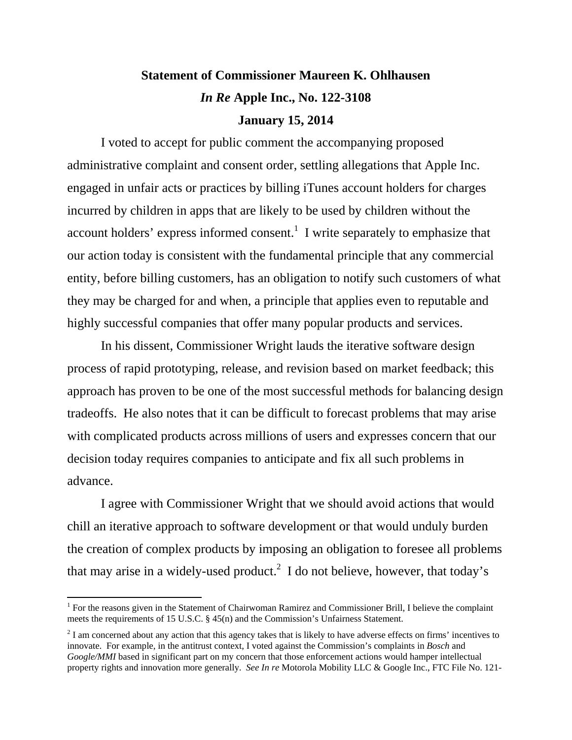## **Statement of Commissioner Maureen K. Ohlhausen**  *In Re* **Apple Inc., No. 122-3108 January 15, 2014**

I voted to accept for public comment the accompanying proposed administrative complaint and consent order, settling allegations that Apple Inc. engaged in unfair acts or practices by billing iTunes account holders for charges incurred by children in apps that are likely to be used by children without the account holders' express informed consent.<sup>1</sup> I write separately to emphasize that our action today is consistent with the fundamental principle that any commercial entity, before billing customers, has an obligation to notify such customers of what they may be charged for and when, a principle that applies even to reputable and highly successful companies that offer many popular products and services.

In his dissent, Commissioner Wright lauds the iterative software design process of rapid prototyping, release, and revision based on market feedback; this approach has proven to be one of the most successful methods for balancing design tradeoffs. He also notes that it can be difficult to forecast problems that may arise with complicated products across millions of users and expresses concern that our decision today requires companies to anticipate and fix all such problems in advance.

I agree with Commissioner Wright that we should avoid actions that would chill an iterative approach to software development or that would unduly burden the creation of complex products by imposing an obligation to foresee all problems that may arise in a widely-used product.<sup>2</sup> I do not believe, however, that today's

 $\overline{a}$ 

<sup>&</sup>lt;sup>1</sup> For the reasons given in the Statement of Chairwoman Ramirez and Commissioner Brill, I believe the complaint meets the requirements of 15 U.S.C. § 45(n) and the Commission's Unfairness Statement.

 $2<sup>2</sup>$  I am concerned about any action that this agency takes that is likely to have adverse effects on firms' incentives to innovate. For example, in the antitrust context, I voted against the Commission's complaints in *Bosch* and *Google/MMI* based in significant part on my concern that those enforcement actions would hamper intellectual property rights and innovation more generally. *See In re* Motorola Mobility LLC & Google Inc., FTC File No. 121-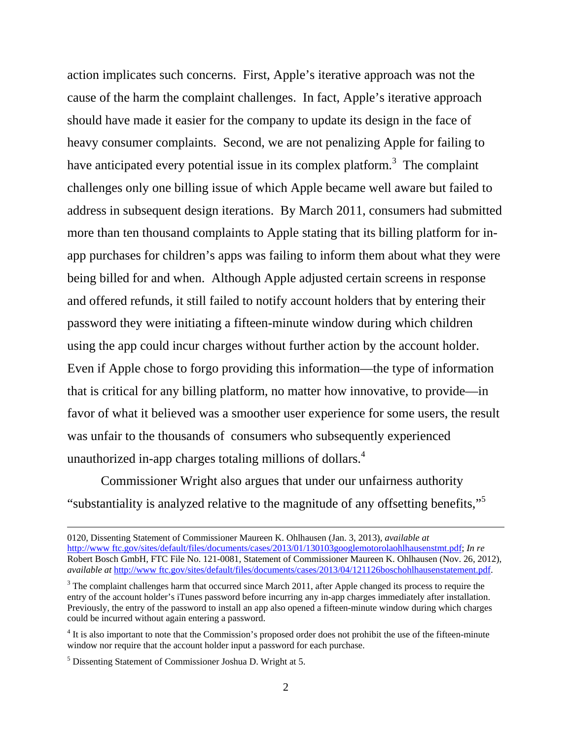action implicates such concerns. First, Apple's iterative approach was not the cause of the harm the complaint challenges. In fact, Apple's iterative approach should have made it easier for the company to update its design in the face of heavy consumer complaints. Second, we are not penalizing Apple for failing to have anticipated every potential issue in its complex platform.<sup>3</sup> The complaint challenges only one billing issue of which Apple became well aware but failed to address in subsequent design iterations. By March 2011, consumers had submitted more than ten thousand complaints to Apple stating that its billing platform for inapp purchases for children's apps was failing to inform them about what they were being billed for and when. Although Apple adjusted certain screens in response and offered refunds, it still failed to notify account holders that by entering their password they were initiating a fifteen-minute window during which children using the app could incur charges without further action by the account holder. Even if Apple chose to forgo providing this information—the type of information that is critical for any billing platform, no matter how innovative, to provide—in favor of what it believed was a smoother user experience for some users, the result was unfair to the thousands of consumers who subsequently experienced unauthorized in-app charges totaling millions of dollars.<sup>4</sup>

Commissioner Wright also argues that under our unfairness authority "substantiality is analyzed relative to the magnitude of any offsetting benefits,"<sup>5</sup>

 <sup>0120,</sup> Dissenting Statement of Commissioner Maureen K. Ohlhausen (Jan. 3, 2013), *available at* http://www ftc.gov/sites/default/files/documents/cases/2013/01/130103googlemotorolaohlhausenstmt.pdf; *In re* Robert Bosch GmbH, FTC File No. 121-0081, Statement of Commissioner Maureen K. Ohlhausen (Nov. 26, 2012), *available at* http://www ftc.gov/sites/default/files/documents/cases/2013/04/121126boschohlhausenstatement.pdf.

 $3$  The complaint challenges harm that occurred since March 2011, after Apple changed its process to require the entry of the account holder's iTunes password before incurring any in-app charges immediately after installation. Previously, the entry of the password to install an app also opened a fifteen-minute window during which charges could be incurred without again entering a password.

<sup>&</sup>lt;sup>4</sup> It is also important to note that the Commission's proposed order does not prohibit the use of the fifteen-minute window nor require that the account holder input a password for each purchase.

<sup>&</sup>lt;sup>5</sup> Dissenting Statement of Commissioner Joshua D. Wright at 5.